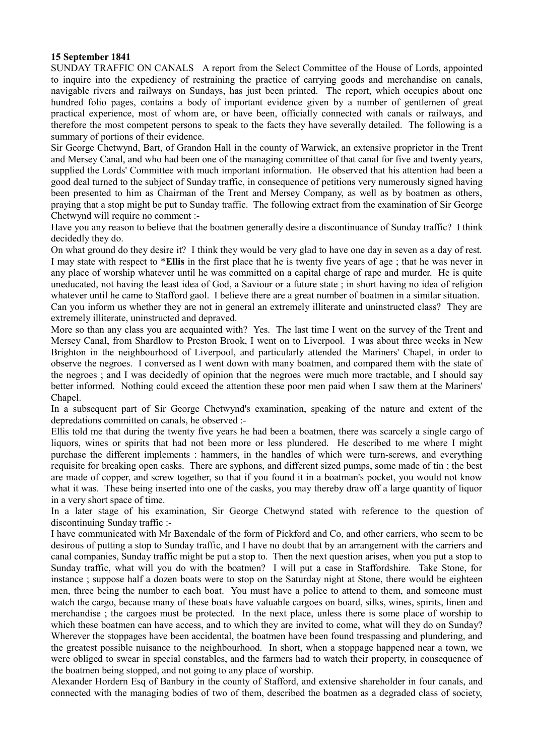## **15 September 1841**

SUNDAY TRAFFIC ON CANALS A report from the Select Committee of the House of Lords, appointed to inquire into the expediency of restraining the practice of carrying goods and merchandise on canals, navigable rivers and railways on Sundays, has just been printed. The report, which occupies about one hundred folio pages, contains a body of important evidence given by a number of gentlemen of great practical experience, most of whom are, or have been, officially connected with canals or railways, and therefore the most competent persons to speak to the facts they have severally detailed. The following is a summary of portions of their evidence.

Sir George Chetwynd, Bart, of Grandon Hall in the county of Warwick, an extensive proprietor in the Trent and Mersey Canal, and who had been one of the managing committee of that canal for five and twenty years, supplied the Lords' Committee with much important information. He observed that his attention had been a good deal turned to the subject of Sunday traffic, in consequence of petitions very numerously signed having been presented to him as Chairman of the Trent and Mersey Company, as well as by boatmen as others, praying that a stop might be put to Sunday traffic. The following extract from the examination of Sir George Chetwynd will require no comment :-

Have you any reason to believe that the boatmen generally desire a discontinuance of Sunday traffic? I think decidedly they do.

On what ground do they desire it? I think they would be very glad to have one day in seven as a day of rest. I may state with respect to \***Ellis** in the first place that he is twenty five years of age ; that he was never in any place of worship whatever until he was committed on a capital charge of rape and murder. He is quite uneducated, not having the least idea of God, a Saviour or a future state ; in short having no idea of religion whatever until he came to Stafford gaol. I believe there are a great number of boatmen in a similar situation. Can you inform us whether they are not in general an extremely illiterate and uninstructed class? They are

extremely illiterate, uninstructed and depraved.

More so than any class you are acquainted with? Yes. The last time I went on the survey of the Trent and Mersey Canal, from Shardlow to Preston Brook, I went on to Liverpool. I was about three weeks in New Brighton in the neighbourhood of Liverpool, and particularly attended the Mariners' Chapel, in order to observe the negroes. I conversed as I went down with many boatmen, and compared them with the state of the negroes ; and I was decidedly of opinion that the negroes were much more tractable, and I should say better informed. Nothing could exceed the attention these poor men paid when I saw them at the Mariners' Chapel.

In a subsequent part of Sir George Chetwynd's examination, speaking of the nature and extent of the depredations committed on canals, he observed :-

Ellis told me that during the twenty five years he had been a boatmen, there was scarcely a single cargo of liquors, wines or spirits that had not been more or less plundered. He described to me where I might purchase the different implements : hammers, in the handles of which were turn-screws, and everything requisite for breaking open casks. There are syphons, and different sized pumps, some made of tin ; the best are made of copper, and screw together, so that if you found it in a boatman's pocket, you would not know what it was. These being inserted into one of the casks, you may thereby draw off a large quantity of liquor in a very short space of time.

In a later stage of his examination, Sir George Chetwynd stated with reference to the question of discontinuing Sunday traffic :-

I have communicated with Mr Baxendale of the form of Pickford and Co, and other carriers, who seem to be desirous of putting a stop to Sunday traffic, and I have no doubt that by an arrangement with the carriers and canal companies, Sunday traffic might be put a stop to. Then the next question arises, when you put a stop to Sunday traffic, what will you do with the boatmen? I will put a case in Staffordshire. Take Stone, for instance ; suppose half a dozen boats were to stop on the Saturday night at Stone, there would be eighteen men, three being the number to each boat. You must have a police to attend to them, and someone must watch the cargo, because many of these boats have valuable cargoes on board, silks, wines, spirits, linen and merchandise ; the cargoes must be protected. In the next place, unless there is some place of worship to which these boatmen can have access, and to which they are invited to come, what will they do on Sunday? Wherever the stoppages have been accidental, the boatmen have been found trespassing and plundering, and the greatest possible nuisance to the neighbourhood. In short, when a stoppage happened near a town, we were obliged to swear in special constables, and the farmers had to watch their property, in consequence of the boatmen being stopped, and not going to any place of worship.

Alexander Hordern Esq of Banbury in the county of Stafford, and extensive shareholder in four canals, and connected with the managing bodies of two of them, described the boatmen as a degraded class of society,